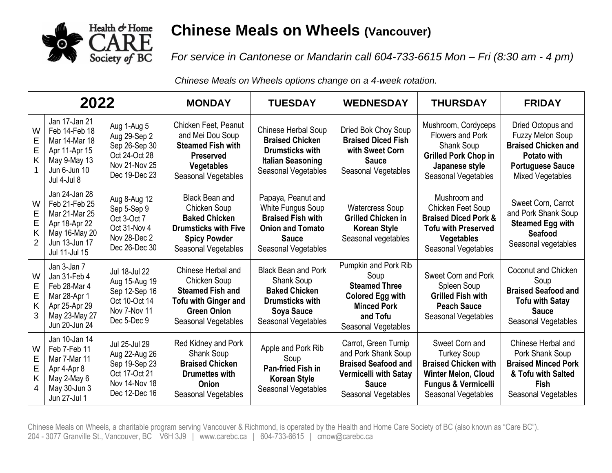

## **Chinese Meals on Wheels (Vancouver)**

*For service in Cantonese or Mandarin call 604-733-6615 Mon – Fri (8:30 am - 4 pm)*

*Chinese Meals on Wheels options change on a 4-week rotation.*

| 2022                  |                                                                                                                     |                                                                                                    | <b>MONDAY</b>                                                                                                                              | <b>TUESDAY</b>                                                                                                                                | <b>WEDNESDAY</b>                                                                                                                          | <b>THURSDAY</b>                                                                                                                                            | <b>FRIDAY</b>                                                                                                                                   |
|-----------------------|---------------------------------------------------------------------------------------------------------------------|----------------------------------------------------------------------------------------------------|--------------------------------------------------------------------------------------------------------------------------------------------|-----------------------------------------------------------------------------------------------------------------------------------------------|-------------------------------------------------------------------------------------------------------------------------------------------|------------------------------------------------------------------------------------------------------------------------------------------------------------|-------------------------------------------------------------------------------------------------------------------------------------------------|
| W<br>E<br>E<br>Κ      | Jan 17-Jan 21<br>Feb 14-Feb 18<br>Mar 14-Mar 18<br>Apr 11-Apr 15<br>May 9-May 13<br>Jun 6-Jun 10<br>Jul 4-Jul 8     | Aug 1-Aug 5<br>Aug 29-Sep 2<br>Sep 26-Sep 30<br>Oct 24-Oct 28<br>Nov 21-Nov 25<br>Dec 19-Dec 23    | Chicken Feet, Peanut<br>and Mei Dou Soup<br><b>Steamed Fish with</b><br><b>Preserved</b><br><b>Vegetables</b><br>Seasonal Vegetables       | Chinese Herbal Soup<br><b>Braised Chicken</b><br><b>Drumsticks with</b><br><b>Italian Seasoning</b><br>Seasonal Vegetables                    | Dried Bok Choy Soup<br><b>Braised Diced Fish</b><br>with Sweet Corn<br><b>Sauce</b><br>Seasonal Vegetables                                | Mushroom, Cordyceps<br><b>Flowers and Pork</b><br><b>Shank Soup</b><br><b>Grilled Pork Chop in</b><br>Japanese style<br>Seasonal Vegetables                | Dried Octopus and<br><b>Fuzzy Melon Soup</b><br><b>Braised Chicken and</b><br>Potato with<br><b>Portuguese Sauce</b><br><b>Mixed Vegetables</b> |
| W<br>E<br>E<br>Κ      | Jan 24-Jan 28<br>Feb 21-Feb 25<br>Mar 21-Mar 25<br>Apr 18-Apr 22<br>May 16-May 20<br>Jun 13-Jun 17<br>Jul 11-Jul 15 | Aug 8-Aug 12<br>Sep 5-Sep 9<br>Oct 3-Oct 7<br>Oct 31-Nov 4<br>Nov 28-Dec 2<br>Dec 26-Dec 30        | <b>Black Bean and</b><br>Chicken Soup<br><b>Baked Chicken</b><br><b>Drumsticks with Five</b><br><b>Spicy Powder</b><br>Seasonal Vegetables | Papaya, Peanut and<br><b>White Fungus Soup</b><br><b>Braised Fish with</b><br><b>Onion and Tomato</b><br><b>Sauce</b><br>Seasonal Vegetables  | <b>Watercress Soup</b><br><b>Grilled Chicken in</b><br><b>Korean Style</b><br>Seasonal vegetables                                         | Mushroom and<br>Chicken Feet Soup<br><b>Braised Diced Pork &amp;</b><br><b>Tofu with Preserved</b><br><b>Vegetables</b><br>Seasonal Vegetables             | Sweet Corn, Carrot<br>and Pork Shank Soup<br><b>Steamed Egg with</b><br>Seafood<br>Seasonal vegetables                                          |
| W<br>E<br>E<br>Κ<br>3 | Jan 3-Jan 7<br>Jan 31-Feb 4<br>Feb 28-Mar 4<br>Mar 28-Apr 1<br>Apr 25-Apr 29<br>May 23-May 27<br>Jun 20-Jun 24      | Jul 18-Jul 22<br>Aug 15-Aug 19<br>Sep 12-Sep 16<br>Oct 10-Oct 14<br>Nov 7-Nov 11<br>Dec 5-Dec 9    | Chinese Herbal and<br>Chicken Soup<br><b>Steamed Fish and</b><br><b>Tofu with Ginger and</b><br><b>Green Onion</b><br>Seasonal Vegetables  | <b>Black Bean and Pork</b><br><b>Shank Soup</b><br><b>Baked Chicken</b><br><b>Drumsticks with</b><br><b>Soya Sauce</b><br>Seasonal Vegetables | Pumpkin and Pork Rib<br>Soup<br><b>Steamed Three</b><br><b>Colored Egg with</b><br><b>Minced Pork</b><br>and Tofu<br>Seasonal Vegetables  | Sweet Corn and Pork<br>Spleen Soup<br><b>Grilled Fish with</b><br><b>Peach Sauce</b><br>Seasonal Vegetables                                                | Coconut and Chicken<br>Soup<br><b>Braised Seafood and</b><br><b>Tofu with Satay</b><br><b>Sauce</b><br>Seasonal Vegetables                      |
| W<br>E<br>E<br>K      | Jan 10-Jan 14<br>Feb 7-Feb 11<br>Mar 7-Mar 11<br>Apr 4-Apr 8<br>May 2-May 6<br>May 30-Jun 3<br>Jun 27-Jul 1         | Jul 25-Jul 29<br>Aug 22-Aug 26<br>Sep 19-Sep 23<br>Oct 17-Oct 21<br>Nov 14-Nov 18<br>Dec 12-Dec 16 | Red Kidney and Pork<br>Shank Soup<br><b>Braised Chicken</b><br><b>Drumettes with</b><br>Onion<br>Seasonal Vegetables                       | Apple and Pork Rib<br>Soup<br><b>Pan-fried Fish in</b><br><b>Korean Style</b><br>Seasonal Vegetables                                          | Carrot, Green Turnip<br>and Pork Shank Soup<br><b>Braised Seafood and</b><br>Vermicelli with Satay<br><b>Sauce</b><br>Seasonal Vegetables | Sweet Corn and<br><b>Turkey Soup</b><br><b>Braised Chicken with</b><br><b>Winter Melon, Cloud</b><br><b>Fungus &amp; Vermicelli</b><br>Seasonal Vegetables | Chinese Herbal and<br>Pork Shank Soup<br><b>Braised Minced Pork</b><br>& Tofu with Salted<br><b>Fish</b><br>Seasonal Vegetables                 |

Chinese Meals on Wheels, a charitable program serving Vancouver & Richmond, is operated by the Health and Home Care Society of BC (also known as "Care BC"). 204 - 3077 Granville St., Vancouver, BC V6H 3J9 | www.carebc.ca | 604-733-6615 | cmow@carebc.ca